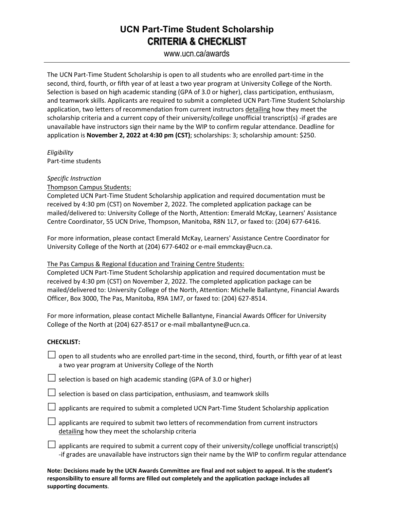## **UCN Part-Time Student Scholarship CRITERIA & CHECKLIST**

www.ucn.ca/awards

The UCN Part-Time Student Scholarship is open to all students who are enrolled part-time in the second, third, fourth, or fifth year of at least a two year program at University College of the North. Selection is based on high academic standing (GPA of 3.0 or higher), class participation, enthusiasm, and teamwork skills. Applicants are required to submit a completed UCN Part-Time Student Scholarship application, two letters of recommendation from current instructors detailing how they meet the scholarship criteria and a current copy of their university/college unofficial transcript(s) -if grades are unavailable have instructors sign their name by the WIP to confirm regular attendance. Deadline for application is **November 2, 2022 at 4:30 pm (CST)**; scholarships: 3; scholarship amount: \$250.

*Eligibility* Part-time students

### *Specific Instruction*

Thompson Campus Students:

Completed UCN Part-Time Student Scholarship application and required documentation must be received by 4:30 pm (CST) on November 2, 2022. The completed application package can be mailed/delivered to: University College of the North, Attention: Emerald McKay, Learners' Assistance Centre Coordinator, 55 UCN Drive, Thompson, Manitoba, R8N 1L7, or faxed to: (204) 677-6416.

For more information, please contact Emerald McKay, Learners' Assistance Centre Coordinator for University College of the North at (204) 677-6402 or e-mail emmckay@ucn.ca.

#### The Pas Campus & Regional Education and Training Centre Students:

Completed UCN Part-Time Student Scholarship application and required documentation must be received by 4:30 pm (CST) on November 2, 2022. The completed application package can be mailed/delivered to: University College of the North, Attention: Michelle Ballantyne, Financial Awards Officer, Box 3000, The Pas, Manitoba, R9A 1M7, or faxed to: (204) 627-8514.

For more information, please contact Michelle Ballantyne, Financial Awards Officer for University College of the North at (204) 627-8517 or e-mail mballantyne@ucn.ca.

#### **CHECKLIST:**

- $\Box$  open to all students who are enrolled part-time in the second, third, fourth, or fifth year of at least a two year program at University College of the North
- $\Box$  selection is based on high academic standing (GPA of 3.0 or higher)
- $\Box$  selection is based on class participation, enthusiasm, and teamwork skills
- $\Box$  applicants are required to submit a completed UCN Part-Time Student Scholarship application
- $\Box$  applicants are required to submit two letters of recommendation from current instructors detailing how they meet the scholarship criteria
- $\Box$  applicants are required to submit a current copy of their university/college unofficial transcript(s) -if grades are unavailable have instructors sign their name by the WIP to confirm regular attendance

**Note: Decisions made by the UCN Awards Committee are final and not subject to appeal. It is the student's responsibility to ensure all forms are filled out completely and the application package includes all supporting documents**.